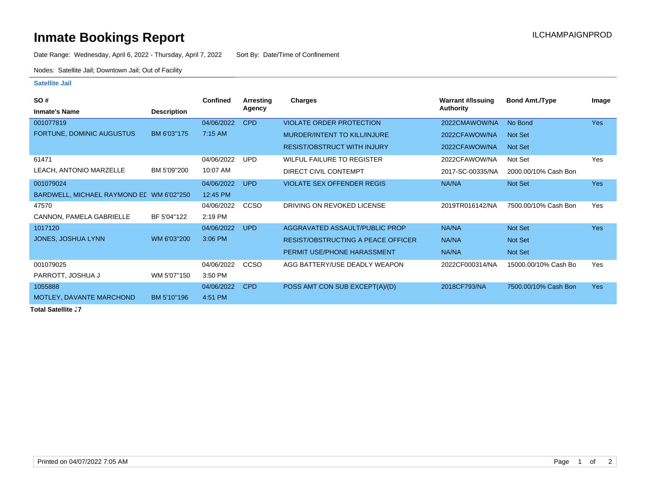## **Inmate Bookings Report Installation ILCHAMPAIGNPROD**

Date Range: Wednesday, April 6, 2022 - Thursday, April 7, 2022 Sort By: Date/Time of Confinement

Nodes: Satellite Jail; Downtown Jail; Out of Facility

## **Satellite Jail**

| <b>SO#</b>                               |                    | <b>Confined</b> | Arresting   | <b>Charges</b>                            | Warrant #/Issuing | <b>Bond Amt./Type</b> | Image      |
|------------------------------------------|--------------------|-----------------|-------------|-------------------------------------------|-------------------|-----------------------|------------|
| <b>Inmate's Name</b>                     | <b>Description</b> |                 | Agency      |                                           | <b>Authority</b>  |                       |            |
| 001077819                                |                    | 04/06/2022      | <b>CPD</b>  | <b>VIOLATE ORDER PROTECTION</b>           | 2022CMAWOW/NA     | No Bond               | <b>Yes</b> |
| FORTUNE, DOMINIC AUGUSTUS                | BM 6'03"175        | 7:15 AM         |             | MURDER/INTENT TO KILL/INJURE              | 2022CFAWOW/NA     | Not Set               |            |
|                                          |                    |                 |             | <b>RESIST/OBSTRUCT WITH INJURY</b>        | 2022CFAWOW/NA     | Not Set               |            |
| 61471                                    |                    | 04/06/2022      | <b>UPD</b>  | <b>WILFUL FAILURE TO REGISTER</b>         | 2022CFAWOW/NA     | Not Set               | Yes        |
| LEACH, ANTONIO MARZELLE                  | BM 5'09"200        | 10:07 AM        |             | DIRECT CIVIL CONTEMPT                     | 2017-SC-00335/NA  | 2000.00/10% Cash Bon  |            |
| 001079024                                |                    | 04/06/2022      | <b>UPD</b>  | <b>VIOLATE SEX OFFENDER REGIS</b>         | NA/NA             | Not Set               | <b>Yes</b> |
| BARDWELL, MICHAEL RAYMOND EL WM 6'02"250 |                    | 12:45 PM        |             |                                           |                   |                       |            |
| 47570                                    |                    | 04/06/2022      | <b>CCSO</b> | DRIVING ON REVOKED LICENSE                | 2019TR016142/NA   | 7500.00/10% Cash Bon  | Yes        |
| CANNON, PAMELA GABRIELLE                 | BF 5'04"122        | 2:19 PM         |             |                                           |                   |                       |            |
| 1017120                                  |                    | 04/06/2022      | <b>UPD</b>  | AGGRAVATED ASSAULT/PUBLIC PROP            | NA/NA             | Not Set               | Yes        |
| <b>JONES, JOSHUA LYNN</b>                | WM 6'03"200        | 3:06 PM         |             | <b>RESIST/OBSTRUCTING A PEACE OFFICER</b> | NA/NA             | Not Set               |            |
|                                          |                    |                 |             | PERMIT USE/PHONE HARASSMENT               | NA/NA             | Not Set               |            |
| 001079025                                |                    | 04/06/2022      | <b>CCSO</b> | AGG BATTERY/USE DEADLY WEAPON             | 2022CF000314/NA   | 15000.00/10% Cash Bo  | Yes        |
| PARROTT, JOSHUA J                        | WM 5'07"150        | 3:50 PM         |             |                                           |                   |                       |            |
| 1055888                                  |                    | 04/06/2022      | <b>CPD</b>  | POSS AMT CON SUB EXCEPT(A)/(D)            | 2018CF793/NA      | 7500.00/10% Cash Bon  | <b>Yes</b> |
| MOTLEY, DAVANTE MARCHOND                 | BM 5'10"196        | 4:51 PM         |             |                                           |                   |                       |            |
|                                          |                    |                 |             |                                           |                   |                       |            |

**Total Satellite Jail: 7**